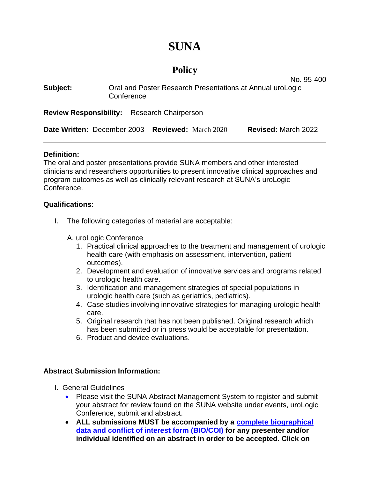# **SUNA**

## **Policy**

No. 95-400

| Subject:                                           | Oral and Poster Research Presentations at Annual uroLogic<br>Conference |                             |                            |
|----------------------------------------------------|-------------------------------------------------------------------------|-----------------------------|----------------------------|
| <b>Review Responsibility:</b> Research Chairperson |                                                                         |                             |                            |
| Date Written: December 2003                        |                                                                         | <b>Reviewed:</b> March 2020 | <b>Revised: March 2022</b> |

#### **Definition:**

The oral and poster presentations provide SUNA members and other interested clinicians and researchers opportunities to present innovative clinical approaches and program outcomes as well as clinically relevant research at SUNA's uroLogic Conference.

#### **Qualifications:**

- I. The following categories of material are acceptable:
	- A. uroLogic Conference
		- 1. Practical clinical approaches to the treatment and management of urologic health care (with emphasis on assessment, intervention, patient outcomes).
		- 2. Development and evaluation of innovative services and programs related to urologic health care.
		- 3. Identification and management strategies of special populations in urologic health care (such as geriatrics, pediatrics).
		- 4. Case studies involving innovative strategies for managing urologic health care.
		- 5. Original research that has not been published. Original research which has been submitted or in press would be acceptable for presentation.
		- 6. Product and device evaluations.

#### **Abstract Submission Information:**

- I. General Guidelines
	- Please visit the SUNA Abstract Management System to register and submit your abstract for review found on the SUNA website under events, uroLogic Conference, submit and abstract.
	- **ALL submissions MUST be accompanied by a [complete biographical](https://www.ania.org/assets/documents/aniaconflictofinterestform.doc)  [data and conflict of interest form \(BIO/COI\)](https://www.ania.org/assets/documents/aniaconflictofinterestform.doc) for any presenter and/or individual identified on an abstract in order to be accepted. Click on**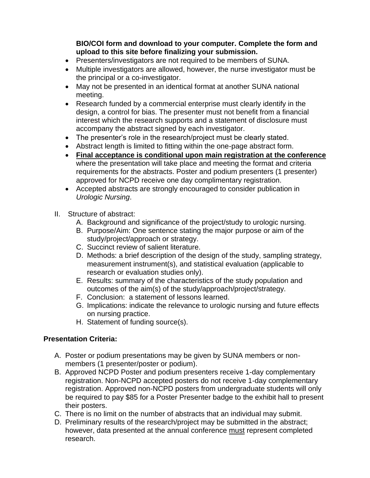**BIO/COI form and download to your computer. Complete the form and upload to this site before finalizing your submission.**

- Presenters/investigators are not required to be members of SUNA.
- Multiple investigators are allowed, however, the nurse investigator must be the principal or a co-investigator.
- May not be presented in an identical format at another SUNA national meeting.
- Research funded by a commercial enterprise must clearly identify in the design, a control for bias. The presenter must not benefit from a financial interest which the research supports and a statement of disclosure must accompany the abstract signed by each investigator.
- The presenter's role in the research/project must be clearly stated.
- Abstract length is limited to fitting within the one-page abstract form.
- **Final acceptance is conditional upon main registration at the conference** where the presentation will take place and meeting the format and criteria requirements for the abstracts. Poster and podium presenters (1 presenter) approved for NCPD receive one day complimentary registration.
- Accepted abstracts are strongly encouraged to consider publication in *Urologic Nursing*.
- II. Structure of abstract:
	- A. Background and significance of the project/study to urologic nursing.
	- B. Purpose/Aim: One sentence stating the major purpose or aim of the study/project/approach or strategy.
	- C. Succinct review of salient literature.
	- D. Methods: a brief description of the design of the study, sampling strategy, measurement instrument(s), and statistical evaluation (applicable to research or evaluation studies only).
	- E. Results: summary of the characteristics of the study population and outcomes of the aim(s) of the study/approach/project/strategy.
	- F. Conclusion: a statement of lessons learned.
	- G. Implications: indicate the relevance to urologic nursing and future effects on nursing practice.
	- H. Statement of funding source(s).

### **Presentation Criteria:**

- A. Poster or podium presentations may be given by SUNA members or nonmembers (1 presenter/poster or podium).
- B. Approved NCPD Poster and podium presenters receive 1-day complementary registration. Non-NCPD accepted posters do not receive 1-day complementary registration. Approved non-NCPD posters from undergraduate students will only be required to pay \$85 for a Poster Presenter badge to the exhibit hall to present their posters.
- C. There is no limit on the number of abstracts that an individual may submit.
- D. Preliminary results of the research/project may be submitted in the abstract; however, data presented at the annual conference must represent completed research.